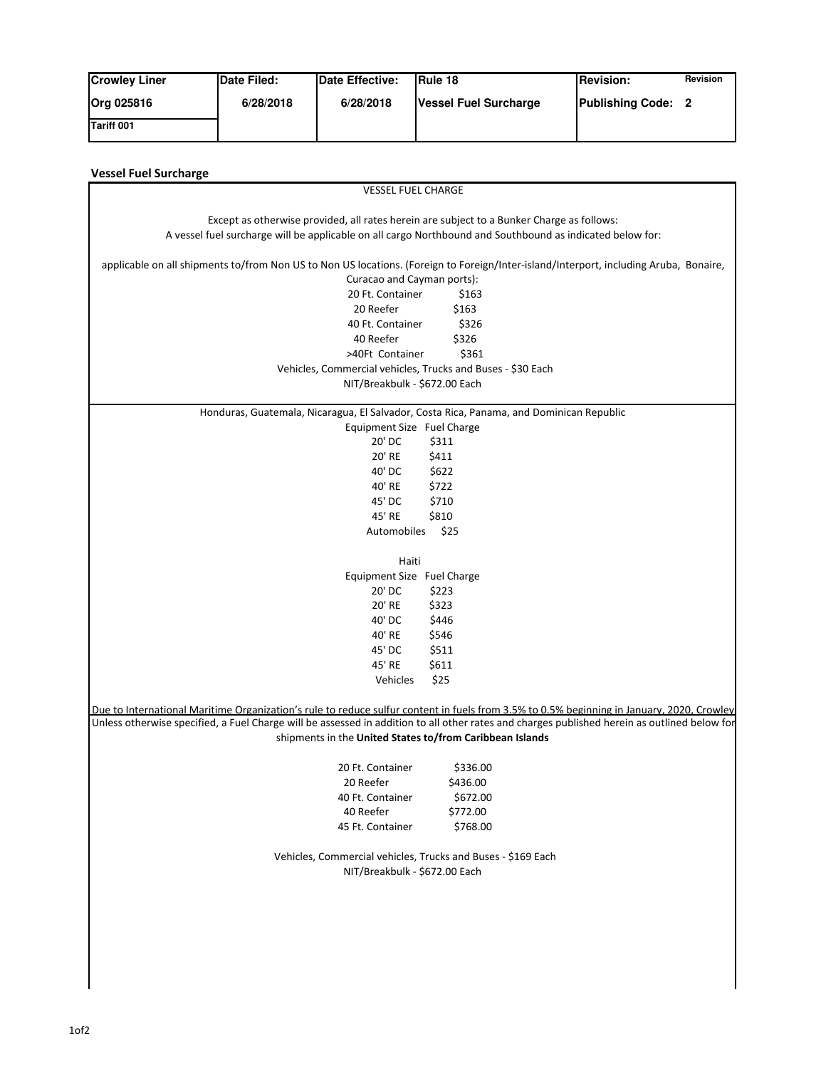| <b>Crowley Liner</b> | <b>IDate Filed:</b> | Date Effective: | <b>IRule 18</b>       | <b>IRevision:</b>         | Revision |
|----------------------|---------------------|-----------------|-----------------------|---------------------------|----------|
| <b>Org 025816</b>    | 6/28/2018           | 6/28/2018       | Vessel Fuel Surcharge | <b>Publishing Code: 2</b> |          |
| <b>Tariff 001</b>    |                     |                 |                       |                           |          |

| <b>Vessel Fuel Surcharge</b>                                                                                                                                                                                                                                                              |  |  |  |  |  |  |
|-------------------------------------------------------------------------------------------------------------------------------------------------------------------------------------------------------------------------------------------------------------------------------------------|--|--|--|--|--|--|
| <b>VESSEL FUEL CHARGE</b>                                                                                                                                                                                                                                                                 |  |  |  |  |  |  |
|                                                                                                                                                                                                                                                                                           |  |  |  |  |  |  |
| Except as otherwise provided, all rates herein are subject to a Bunker Charge as follows:                                                                                                                                                                                                 |  |  |  |  |  |  |
| A vessel fuel surcharge will be applicable on all cargo Northbound and Southbound as indicated below for:                                                                                                                                                                                 |  |  |  |  |  |  |
| applicable on all shipments to/from Non US to Non US locations. (Foreign to Foreign/Inter-island/Interport, including Aruba, Bonaire,                                                                                                                                                     |  |  |  |  |  |  |
| Curacao and Cayman ports):                                                                                                                                                                                                                                                                |  |  |  |  |  |  |
| 20 Ft. Container<br>\$163                                                                                                                                                                                                                                                                 |  |  |  |  |  |  |
| \$163<br>20 Reefer                                                                                                                                                                                                                                                                        |  |  |  |  |  |  |
| 40 Ft. Container<br>\$326                                                                                                                                                                                                                                                                 |  |  |  |  |  |  |
| \$326<br>40 Reefer                                                                                                                                                                                                                                                                        |  |  |  |  |  |  |
| >40Ft Container<br>\$361                                                                                                                                                                                                                                                                  |  |  |  |  |  |  |
| Vehicles, Commercial vehicles, Trucks and Buses - \$30 Each                                                                                                                                                                                                                               |  |  |  |  |  |  |
| NIT/Breakbulk - \$672.00 Each                                                                                                                                                                                                                                                             |  |  |  |  |  |  |
|                                                                                                                                                                                                                                                                                           |  |  |  |  |  |  |
| Honduras, Guatemala, Nicaragua, El Salvador, Costa Rica, Panama, and Dominican Republic                                                                                                                                                                                                   |  |  |  |  |  |  |
| Equipment Size Fuel Charge                                                                                                                                                                                                                                                                |  |  |  |  |  |  |
| 20' DC<br>\$311                                                                                                                                                                                                                                                                           |  |  |  |  |  |  |
| 20' RE<br>\$411                                                                                                                                                                                                                                                                           |  |  |  |  |  |  |
| 40' DC<br>\$622                                                                                                                                                                                                                                                                           |  |  |  |  |  |  |
| 40' RE<br>\$722                                                                                                                                                                                                                                                                           |  |  |  |  |  |  |
| \$710<br>45' DC                                                                                                                                                                                                                                                                           |  |  |  |  |  |  |
| 45' RE<br>\$810                                                                                                                                                                                                                                                                           |  |  |  |  |  |  |
| \$25<br>Automobiles                                                                                                                                                                                                                                                                       |  |  |  |  |  |  |
|                                                                                                                                                                                                                                                                                           |  |  |  |  |  |  |
| Haiti                                                                                                                                                                                                                                                                                     |  |  |  |  |  |  |
| Equipment Size Fuel Charge                                                                                                                                                                                                                                                                |  |  |  |  |  |  |
| 20' DC<br>\$223                                                                                                                                                                                                                                                                           |  |  |  |  |  |  |
| \$323<br>20' RE                                                                                                                                                                                                                                                                           |  |  |  |  |  |  |
| 40' DC<br>\$446                                                                                                                                                                                                                                                                           |  |  |  |  |  |  |
| 40' RE<br>\$546                                                                                                                                                                                                                                                                           |  |  |  |  |  |  |
| 45' DC<br>\$511                                                                                                                                                                                                                                                                           |  |  |  |  |  |  |
| 45' RE<br>\$611                                                                                                                                                                                                                                                                           |  |  |  |  |  |  |
| \$25<br>Vehicles                                                                                                                                                                                                                                                                          |  |  |  |  |  |  |
|                                                                                                                                                                                                                                                                                           |  |  |  |  |  |  |
| Due to International Maritime Organization's rule to reduce sulfur content in fuels from 3.5% to 0.5% beginning in January, 2020, Crowley<br>Unless otherwise specified, a Fuel Charge will be assessed in addition to all other rates and charges published herein as outlined below for |  |  |  |  |  |  |
|                                                                                                                                                                                                                                                                                           |  |  |  |  |  |  |
| shipments in the United States to/from Caribbean Islands                                                                                                                                                                                                                                  |  |  |  |  |  |  |
| 20 Ft. Container<br>\$336.00                                                                                                                                                                                                                                                              |  |  |  |  |  |  |
| 20 Reefer<br>\$436.00                                                                                                                                                                                                                                                                     |  |  |  |  |  |  |
| \$672.00<br>40 Ft. Container                                                                                                                                                                                                                                                              |  |  |  |  |  |  |
| \$772.00<br>40 Reefer                                                                                                                                                                                                                                                                     |  |  |  |  |  |  |
| \$768.00<br>45 Ft. Container                                                                                                                                                                                                                                                              |  |  |  |  |  |  |
|                                                                                                                                                                                                                                                                                           |  |  |  |  |  |  |
| Vehicles, Commercial vehicles, Trucks and Buses - \$169 Each                                                                                                                                                                                                                              |  |  |  |  |  |  |
| NIT/Breakbulk - \$672.00 Each                                                                                                                                                                                                                                                             |  |  |  |  |  |  |
|                                                                                                                                                                                                                                                                                           |  |  |  |  |  |  |
|                                                                                                                                                                                                                                                                                           |  |  |  |  |  |  |
|                                                                                                                                                                                                                                                                                           |  |  |  |  |  |  |
|                                                                                                                                                                                                                                                                                           |  |  |  |  |  |  |
|                                                                                                                                                                                                                                                                                           |  |  |  |  |  |  |
|                                                                                                                                                                                                                                                                                           |  |  |  |  |  |  |